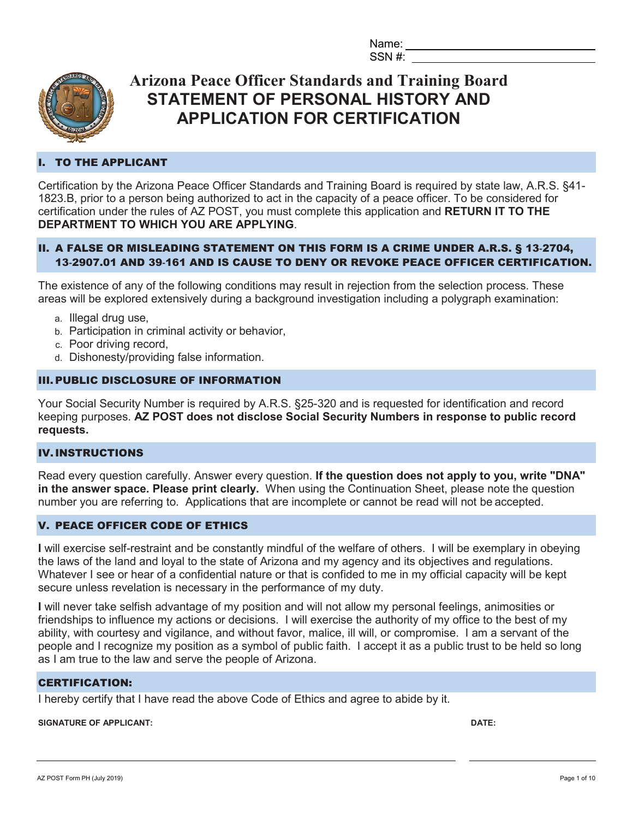Name: SSN #:



## **Arizona Peace Officer Standards and Training Board STATEMENT OF PERSONAL HISTORY AND APPLICATION FOR CERTIFICATION**

## I. TO THE APPLICANT

Certification by the Arizona Peace Officer Standards and Training Board is required by state law, A.R.S. §41- 1823.B, prior to a person being authorized to act in the capacity of a peace officer. To be considered for certification under the rules of AZ POST, you must complete this application and **RETURN IT TO THE DEPARTMENT TO WHICH YOU ARE APPLYING**.

## II. A FALSE OR MISLEADING STATEMENT ON THIS FORM IS A CRIME UNDER A.R.S. § 13**-**2704, 13**-**2907.01 AND 39**-**161 AND IS CAUSE TO DENY OR REVOKE PEACE OFFICER CERTIFICATION.

The existence of any of the following conditions may result in rejection from the selection process. These areas will be explored extensively during a background investigation including a polygraph examination:

- a. Illegal drug use,
- b. Participation in criminal activity or behavior,
- c. Poor driving record,
- d. Dishonesty/providing false information.

### III. PUBLIC DISCLOSURE OF INFORMATION

Your Social Security Number is required by A.R.S. §25-320 and is requested for identification and record keeping purposes. **AZ POST does not disclose Social Security Numbers in response to public record requests.**

### IV.INSTRUCTIONS

Read every question carefully. Answer every question. **If the question does not apply to you, write "DNA" in the answer space. Please print clearly.** When using the Continuation Sheet, please note the question number you are referring to. Applications that are incomplete or cannot be read will not be accepted.

#### V. PEACE OFFICER CODE OF ETHICS

**I** will exercise self-restraint and be constantly mindful of the welfare of others. I will be exemplary in obeying the laws of the land and loyal to the state of Arizona and my agency and its objectives and regulations. Whatever I see or hear of a confidential nature or that is confided to me in my official capacity will be kept secure unless revelation is necessary in the performance of my duty.

**I** will never take selfish advantage of my position and will not allow my personal feelings, animosities or friendships to influence my actions or decisions. I will exercise the authority of my office to the best of my ability, with courtesy and vigilance, and without favor, malice, ill will, or compromise. I am a servant of the people and I recognize my position as a symbol of public faith. I accept it as a public trust to be held so long as I am true to the law and serve the people of Arizona.

### CERTIFICATION:

I hereby certify that I have read the above Code of Ethics and agree to abide by it.

#### **SIGNATURE OF APPLICANT: DATE:**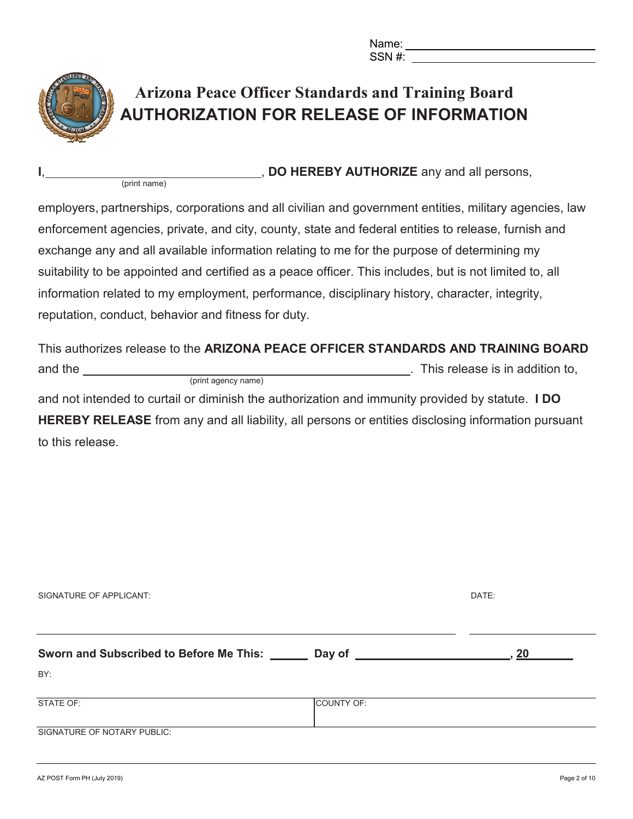Name: SSN #:



# **Arizona Peace Officer Standards and Training Board AUTHORIZATION FOR RELEASE OF INFORMATION**

**I**, **DO HEREBY AUTHORIZE** any and all persons,

employers, partnerships, corporations and all civilian and government entities, military agencies, law enforcement agencies, private, and city, county, state and federal entities to release, furnish and exchange any and all available information relating to me for the purpose of determining my suitability to be appointed and certified as a peace officer. This includes, but is not limited to, all information related to my employment, performance, disciplinary history, character, integrity, reputation, conduct, behavior and fitness for duty.

This authorizes release to the **ARIZONA PEACE OFFICER STANDARDS AND TRAINING BOARD** and the . This release is in addition to, (print agency name)

and not intended to curtail or diminish the authorization and immunity provided by statute. **I DO HEREBY RELEASE** from any and all liability, all persons or entities disclosing information pursuant to this release.

| Sworn and Subscribed to Before Me This: ___ | Day of     | 20 |  |
|---------------------------------------------|------------|----|--|
| BY:                                         |            |    |  |
| STATE OF:                                   | COUNTY OF: |    |  |
| SIGNATURE OF NOTARY PUBLIC:                 |            |    |  |

SIGNATURE OF APPLICANT: SIGNATURE OF APPLICANT: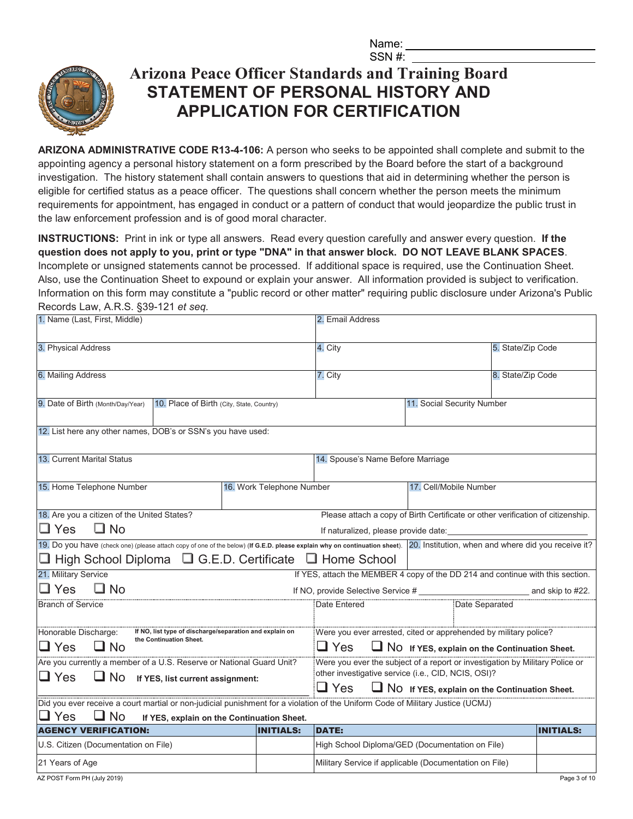Name: SSN #:



# **Arizona Peace Officer Standards and Training Board STATEMENT OF PERSONAL HISTORY AND APPLICATION FOR CERTIFICATION**

**ARIZONA ADMINISTRATIVE CODE R13-4-106:** A person who seeks to be appointed shall complete and submit to the appointing agency a personal history statement on a form prescribed by the Board before the start of a background investigation. The history statement shall contain answers to questions that aid in determining whether the person is eligible for certified status as a peace officer. The questions shall concern whether the person meets the minimum requirements for appointment, has engaged in conduct or a pattern of conduct that would jeopardize the public trust in the law enforcement profession and is of good moral character.

**INSTRUCTIONS:** Print in ink or type all answers. Read every question carefully and answer every question. **If the question does not apply to you, print or type "DNA" in that answer block. DO NOT LEAVE BLANK SPACES**. Incomplete or unsigned statements cannot be processed. If additional space is required, use the Continuation Sheet. Also, use the Continuation Sheet to expound or explain your answer. All information provided is subject to verification. Information on this form may constitute a "public record or other matter" requiring public disclosure under Arizona's Public Records Law, A.R.S. §39-121 *et seq.*

| 1. Name (Last, First, Middle)                                                                                                                                                                      |                           | 2. Email Address                                                               |                                                                                                                             |                   |                  |
|----------------------------------------------------------------------------------------------------------------------------------------------------------------------------------------------------|---------------------------|--------------------------------------------------------------------------------|-----------------------------------------------------------------------------------------------------------------------------|-------------------|------------------|
| 3. Physical Address                                                                                                                                                                                |                           | 4. City                                                                        | 5. State/Zip Code                                                                                                           |                   |                  |
| 6. Mailing Address                                                                                                                                                                                 |                           | 7. City                                                                        |                                                                                                                             | 8. State/Zip Code |                  |
| 9. Date of Birth (Month/Day/Year)<br>10. Place of Birth (City, State, Country)                                                                                                                     |                           |                                                                                | 11. Social Security Number                                                                                                  |                   |                  |
| 12. List here any other names, DOB's or SSN's you have used:                                                                                                                                       |                           |                                                                                |                                                                                                                             |                   |                  |
| 13. Current Marital Status                                                                                                                                                                         |                           | 14. Spouse's Name Before Marriage                                              |                                                                                                                             |                   |                  |
| 15. Home Telephone Number                                                                                                                                                                          | 16. Work Telephone Number |                                                                                | 17. Cell/Mobile Number                                                                                                      |                   |                  |
| 18. Are you a citizen of the United States?<br>$\Box$ Yes<br>$\Box$ No                                                                                                                             |                           |                                                                                | Please attach a copy of Birth Certificate or other verification of citizenship.<br>If naturalized, please provide date:<br> |                   |                  |
| 19. Do you have (check one) (please attach copy of one of the below) (If G.E.D. please explain why on continuation sheet). 20. Institution, when and where did you receive it?                     |                           |                                                                                |                                                                                                                             |                   |                  |
| $\Box$ High School Diploma $\Box$ G.E.D. Certificate $\Box$ Home School                                                                                                                            |                           |                                                                                |                                                                                                                             |                   |                  |
| 21. Military Service<br>$\Box$ Yes                                                                                                                                                                 |                           | If YES, attach the MEMBER 4 copy of the DD 214 and continue with this section. |                                                                                                                             |                   |                  |
| $\Box$ No                                                                                                                                                                                          |                           |                                                                                |                                                                                                                             |                   |                  |
| <b>Branch of Service</b>                                                                                                                                                                           |                           | Date Entered                                                                   | Date Separated                                                                                                              |                   |                  |
| Honorable Discharge:<br>If NO, list type of discharge/separation and explain on<br>the Continuation Sheet.<br>$\square$ Yes<br>$\Box$ No                                                           |                           | $\square$ Yes                                                                  | Were you ever arrested, cited or apprehended by military police?<br>NO If YES, explain on the Continuation Sheet.           |                   |                  |
| Are you currently a member of a U.S. Reserve or National Guard Unit?                                                                                                                               |                           |                                                                                | Were you ever the subject of a report or investigation by Military Police or                                                |                   |                  |
| $\square$ Yes<br>$\Box$ No<br>If YES, list current assignment:                                                                                                                                     |                           |                                                                                | other investigative service (i.e., CID, NCIS, OSI)?                                                                         |                   |                  |
|                                                                                                                                                                                                    |                           | $\square$ Yes                                                                  | NO If YES, explain on the Continuation Sheet.                                                                               |                   |                  |
| Did you ever receive a court martial or non-judicial punishment for a violation of the Uniform Code of Military Justice (UCMJ)<br>$\Box$ Yes<br>∐ No<br>If YES, explain on the Continuation Sheet. |                           |                                                                                |                                                                                                                             |                   |                  |
| <b>AGENCY VERIFICATION:</b>                                                                                                                                                                        | <b>INITIALS:</b>          | <b>DATE:</b>                                                                   |                                                                                                                             |                   | <b>INITIALS:</b> |
| U.S. Citizen (Documentation on File)                                                                                                                                                               |                           |                                                                                | High School Diploma/GED (Documentation on File)                                                                             |                   |                  |
| 21 Years of Age                                                                                                                                                                                    |                           |                                                                                | Military Service if applicable (Documentation on File)                                                                      |                   |                  |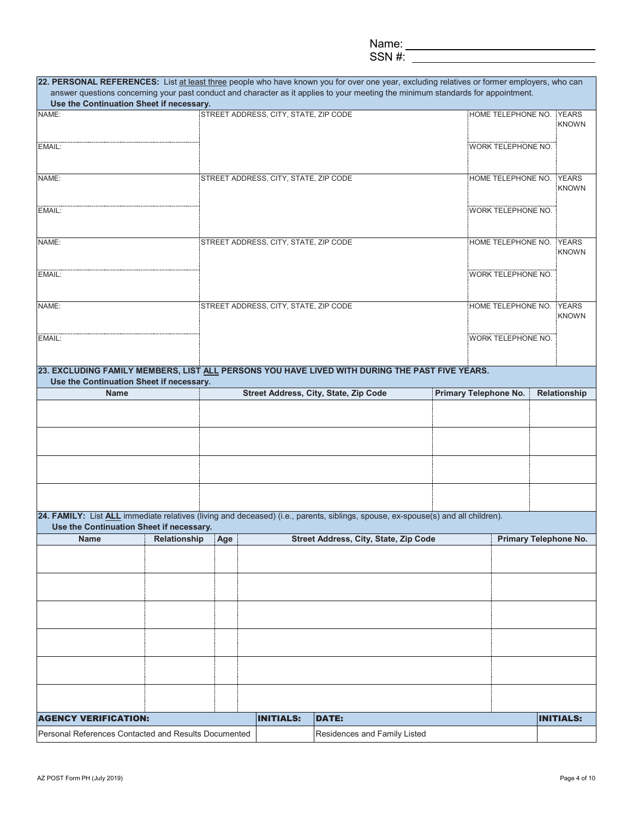#### SSN #:

|                                                      |                  |                                       | 22. PERSONAL REFERENCES: List at least three people who have known you for over one year, excluding relatives or former employers, who can<br>answer questions concerning your past conduct and character as it applies to your meeting the minimum standards for appointment. |                       |                           |                              |
|------------------------------------------------------|------------------|---------------------------------------|--------------------------------------------------------------------------------------------------------------------------------------------------------------------------------------------------------------------------------------------------------------------------------|-----------------------|---------------------------|------------------------------|
| Use the Continuation Sheet if necessary.             |                  |                                       |                                                                                                                                                                                                                                                                                |                       |                           |                              |
| NAME:                                                |                  | STREET ADDRESS, CITY, STATE, ZIP CODE |                                                                                                                                                                                                                                                                                |                       | HOME TELEPHONE NO. YEARS  | <b>KNOWN</b>                 |
| EMAIL:                                               |                  |                                       |                                                                                                                                                                                                                                                                                |                       | WORK TELEPHONE NO.        |                              |
| NAME:                                                |                  | STREET ADDRESS, CITY, STATE, ZIP CODE |                                                                                                                                                                                                                                                                                |                       | HOME TELEPHONE NO.        | <b>YEARS</b><br><b>KNOWN</b> |
| EMAIL:                                               |                  |                                       |                                                                                                                                                                                                                                                                                |                       | <b>WORK TELEPHONE NO.</b> |                              |
| NAME:                                                |                  | STREET ADDRESS, CITY, STATE, ZIP CODE |                                                                                                                                                                                                                                                                                |                       | HOME TELEPHONE NO. YEARS  |                              |
| EMAIL:                                               |                  |                                       |                                                                                                                                                                                                                                                                                |                       | <b>WORK TELEPHONE NO.</b> | <b>KNOWN</b>                 |
|                                                      |                  |                                       |                                                                                                                                                                                                                                                                                |                       |                           |                              |
| NAME:                                                |                  | STREET ADDRESS, CITY, STATE, ZIP CODE |                                                                                                                                                                                                                                                                                |                       | HOME TELEPHONE NO. YEARS  | <b>KNOWN</b>                 |
| EMAIL:                                               |                  |                                       |                                                                                                                                                                                                                                                                                |                       | <b>WORK TELEPHONE NO.</b> |                              |
| Use the Continuation Sheet if necessary.             |                  |                                       | 23. EXCLUDING FAMILY MEMBERS, LIST ALL PERSONS YOU HAVE LIVED WITH DURING THE PAST FIVE YEARS.                                                                                                                                                                                 |                       |                           |                              |
| <b>Name</b>                                          |                  |                                       | Street Address, City, State, Zip Code                                                                                                                                                                                                                                          | Primary Telephone No. |                           | Relationship                 |
|                                                      |                  |                                       |                                                                                                                                                                                                                                                                                |                       |                           |                              |
|                                                      |                  |                                       |                                                                                                                                                                                                                                                                                |                       |                           |                              |
|                                                      |                  |                                       |                                                                                                                                                                                                                                                                                |                       |                           |                              |
|                                                      |                  |                                       |                                                                                                                                                                                                                                                                                |                       |                           |                              |
| Use the Continuation Sheet if necessary.             |                  |                                       | 24. FAMILY: List ALL immediate relatives (living and deceased) (i.e., parents, siblings, spouse, ex-spouse(s) and all children).                                                                                                                                               |                       |                           |                              |
| <b>Name</b>                                          | Relationship Age |                                       | Street Address, City, State, Zip Code                                                                                                                                                                                                                                          |                       |                           | <b>Primary Telephone No.</b> |
|                                                      |                  |                                       |                                                                                                                                                                                                                                                                                |                       |                           |                              |
|                                                      |                  |                                       |                                                                                                                                                                                                                                                                                |                       |                           |                              |
|                                                      |                  |                                       |                                                                                                                                                                                                                                                                                |                       |                           |                              |
|                                                      |                  |                                       |                                                                                                                                                                                                                                                                                |                       |                           |                              |
|                                                      |                  |                                       |                                                                                                                                                                                                                                                                                |                       |                           |                              |
|                                                      |                  |                                       |                                                                                                                                                                                                                                                                                |                       |                           |                              |
| <b>AGENCY VERIFICATION:</b>                          |                  | <b>INITIALS:</b>                      | <b>DATE:</b>                                                                                                                                                                                                                                                                   |                       |                           | <b>INITIALS:</b>             |
| Personal References Contacted and Results Documented |                  |                                       | Residences and Family Listed                                                                                                                                                                                                                                                   |                       |                           |                              |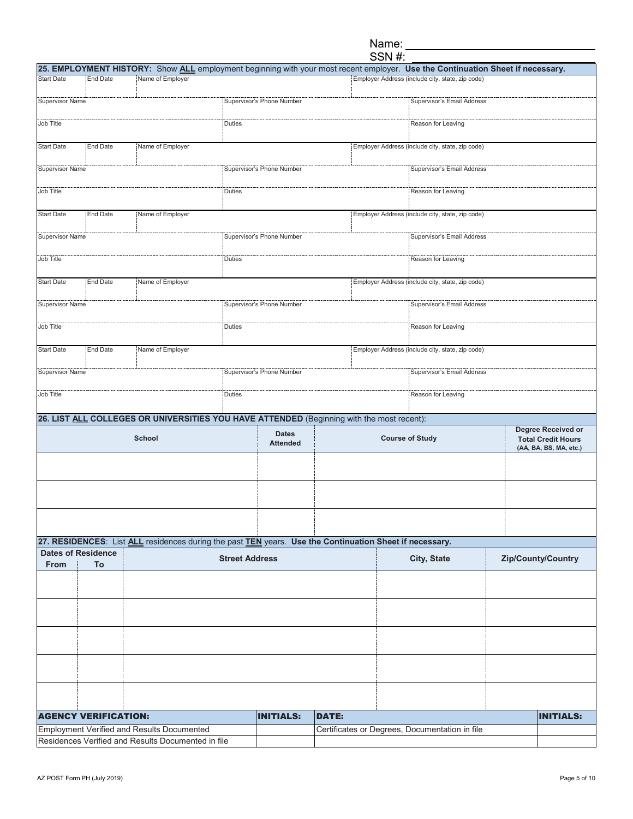|                        |                             |                                                                                                         |                       |                                 |              | SSN #: |                                                                                                                                |                           |
|------------------------|-----------------------------|---------------------------------------------------------------------------------------------------------|-----------------------|---------------------------------|--------------|--------|--------------------------------------------------------------------------------------------------------------------------------|---------------------------|
|                        |                             |                                                                                                         |                       |                                 |              |        | 25. EMPLOYMENT HISTORY: Show ALL employment beginning with your most recent employer. Use the Continuation Sheet if necessary. |                           |
| <b>Start Date</b>      | <b>End Date</b>             | Name of Employer                                                                                        |                       |                                 |              |        | Employer Address (include city, state, zip code)                                                                               |                           |
| <b>Supervisor Name</b> |                             |                                                                                                         |                       | Supervisor's Phone Number       |              |        | Supervisor's Email Address                                                                                                     |                           |
|                        |                             |                                                                                                         |                       |                                 |              |        |                                                                                                                                |                           |
| Job Title              |                             |                                                                                                         | Duties                |                                 |              |        | Reason for Leaving                                                                                                             |                           |
|                        |                             |                                                                                                         |                       |                                 |              |        |                                                                                                                                |                           |
| <b>Start Date</b>      | <b>End Date</b>             | Name of Employer                                                                                        |                       |                                 |              |        | Employer Address (include city, state, zip code)                                                                               |                           |
| <b>Supervisor Name</b> |                             |                                                                                                         |                       | Supervisor's Phone Number       |              |        | Supervisor's Email Address                                                                                                     |                           |
|                        |                             |                                                                                                         |                       |                                 |              |        |                                                                                                                                |                           |
| Job Title              |                             |                                                                                                         | Duties                |                                 |              |        | Reason for Leaving                                                                                                             |                           |
|                        |                             |                                                                                                         |                       |                                 |              |        |                                                                                                                                |                           |
| <b>Start Date</b>      | <b>End Date</b>             | Name of Employer                                                                                        |                       |                                 |              |        | Employer Address (include city, state, zip code)                                                                               |                           |
|                        |                             |                                                                                                         |                       |                                 |              |        |                                                                                                                                |                           |
| <b>Supervisor Name</b> |                             |                                                                                                         |                       | Supervisor's Phone Number       |              |        | <b>Supervisor's Email Address</b>                                                                                              |                           |
| Job Title              |                             |                                                                                                         | Duties                |                                 |              |        | Reason for Leaving                                                                                                             |                           |
|                        |                             |                                                                                                         |                       |                                 |              |        |                                                                                                                                |                           |
| <b>Start Date</b>      | <b>End Date</b>             | Name of Employer                                                                                        |                       |                                 |              |        | Employer Address (include city, state, zip code)                                                                               |                           |
|                        |                             |                                                                                                         |                       |                                 |              |        |                                                                                                                                |                           |
| <b>Supervisor Name</b> |                             |                                                                                                         |                       | Supervisor's Phone Number       |              |        | Supervisor's Email Address                                                                                                     |                           |
|                        |                             |                                                                                                         |                       |                                 |              |        |                                                                                                                                |                           |
| Job Title              |                             | Duties                                                                                                  |                       |                                 |              |        | Reason for Leaving                                                                                                             |                           |
| <b>Start Date</b>      | <b>End Date</b>             | Name of Employer                                                                                        |                       |                                 |              |        | Employer Address (include city, state, zip code)                                                                               |                           |
|                        |                             |                                                                                                         |                       |                                 |              |        |                                                                                                                                |                           |
| Supervisor Name        |                             |                                                                                                         |                       | Supervisor's Phone Number       |              |        | Supervisor's Email Address                                                                                                     |                           |
|                        |                             |                                                                                                         |                       |                                 |              |        |                                                                                                                                |                           |
| Job Title              |                             |                                                                                                         | Duties                |                                 |              |        | Reason for Leaving                                                                                                             |                           |
|                        |                             | 26. LIST ALL COLLEGES OR UNIVERSITIES YOU HAVE ATTENDED (Beginning with the most recent):               |                       |                                 |              |        |                                                                                                                                |                           |
|                        |                             |                                                                                                         |                       |                                 |              |        |                                                                                                                                | Degree Received or        |
|                        |                             | <b>School</b>                                                                                           |                       | <b>Dates</b><br><b>Attended</b> |              |        | <b>Course of Study</b>                                                                                                         | <b>Total Credit Hours</b> |
|                        |                             |                                                                                                         |                       |                                 |              |        |                                                                                                                                | (AA, BA, BS, MA, etc.)    |
|                        |                             |                                                                                                         |                       |                                 |              |        |                                                                                                                                |                           |
|                        |                             |                                                                                                         |                       |                                 |              |        |                                                                                                                                |                           |
|                        |                             |                                                                                                         |                       |                                 |              |        |                                                                                                                                |                           |
|                        |                             |                                                                                                         |                       |                                 |              |        |                                                                                                                                |                           |
|                        |                             |                                                                                                         |                       |                                 |              |        |                                                                                                                                |                           |
|                        |                             |                                                                                                         |                       |                                 |              |        |                                                                                                                                |                           |
|                        |                             | 27. RESIDENCES: List ALL residences during the past TEN years. Use the Continuation Sheet if necessary. |                       |                                 |              |        |                                                                                                                                |                           |
|                        | <b>Dates of Residence</b>   |                                                                                                         | <b>Street Address</b> |                                 |              |        | City, State                                                                                                                    | Zip/County/Country        |
| From                   | To                          |                                                                                                         |                       |                                 |              |        |                                                                                                                                |                           |
|                        |                             |                                                                                                         |                       |                                 |              |        |                                                                                                                                |                           |
|                        |                             |                                                                                                         |                       |                                 |              |        |                                                                                                                                |                           |
|                        |                             |                                                                                                         |                       |                                 |              |        |                                                                                                                                |                           |
|                        |                             |                                                                                                         |                       |                                 |              |        |                                                                                                                                |                           |
|                        |                             |                                                                                                         |                       |                                 |              |        |                                                                                                                                |                           |
|                        |                             |                                                                                                         |                       |                                 |              |        |                                                                                                                                |                           |
|                        |                             |                                                                                                         |                       |                                 |              |        |                                                                                                                                |                           |
|                        |                             |                                                                                                         |                       |                                 |              |        |                                                                                                                                |                           |
|                        |                             |                                                                                                         |                       |                                 |              |        |                                                                                                                                |                           |
|                        |                             |                                                                                                         |                       |                                 |              |        |                                                                                                                                |                           |
|                        | <b>AGENCY VERIFICATION:</b> |                                                                                                         |                       | <b>INITIALS:</b>                | <b>DATE:</b> |        |                                                                                                                                | <b>INITIALS:</b>          |
|                        |                             | <b>Employment Verified and Results Documented</b>                                                       |                       |                                 |              |        | Certificates or Degrees, Documentation in file                                                                                 |                           |
|                        |                             | Residences Verified and Results Documented in file                                                      |                       |                                 |              |        |                                                                                                                                |                           |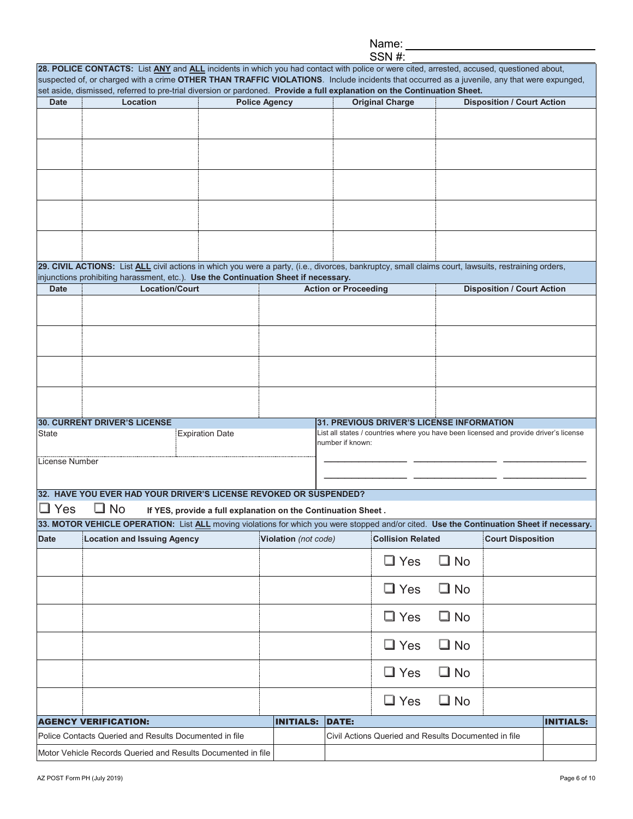|--|

|                |                                    | set aside, dismissed, referred to pre-trial diversion or pardoned. Provide a full explanation on the Continuation Sheet.                                          |                                                                                                                                    |              |                                   |
|----------------|------------------------------------|-------------------------------------------------------------------------------------------------------------------------------------------------------------------|------------------------------------------------------------------------------------------------------------------------------------|--------------|-----------------------------------|
| <b>Date</b>    | Location                           | <b>Police Agency</b>                                                                                                                                              | <b>Original Charge</b>                                                                                                             |              | <b>Disposition / Court Action</b> |
|                |                                    |                                                                                                                                                                   |                                                                                                                                    |              |                                   |
|                |                                    |                                                                                                                                                                   |                                                                                                                                    |              |                                   |
|                |                                    |                                                                                                                                                                   |                                                                                                                                    |              |                                   |
|                |                                    |                                                                                                                                                                   |                                                                                                                                    |              |                                   |
|                |                                    |                                                                                                                                                                   |                                                                                                                                    |              |                                   |
|                |                                    |                                                                                                                                                                   |                                                                                                                                    |              |                                   |
|                |                                    |                                                                                                                                                                   |                                                                                                                                    |              |                                   |
|                |                                    |                                                                                                                                                                   |                                                                                                                                    |              |                                   |
|                |                                    | 29. CIVIL ACTIONS: List ALL civil actions in which you were a party, (i.e., divorces, bankruptcy, small claims court, lawsuits, restraining orders,               |                                                                                                                                    |              |                                   |
|                |                                    | injunctions prohibiting harassment, etc.). Use the Continuation Sheet if necessary.                                                                               |                                                                                                                                    |              |                                   |
| <b>Date</b>    | Location/Court                     |                                                                                                                                                                   | <b>Action or Proceeding</b>                                                                                                        |              | <b>Disposition / Court Action</b> |
|                |                                    |                                                                                                                                                                   |                                                                                                                                    |              |                                   |
|                |                                    |                                                                                                                                                                   |                                                                                                                                    |              |                                   |
|                |                                    |                                                                                                                                                                   |                                                                                                                                    |              |                                   |
|                |                                    |                                                                                                                                                                   |                                                                                                                                    |              |                                   |
|                |                                    |                                                                                                                                                                   |                                                                                                                                    |              |                                   |
|                |                                    |                                                                                                                                                                   |                                                                                                                                    |              |                                   |
|                |                                    |                                                                                                                                                                   |                                                                                                                                    |              |                                   |
| <b>State</b>   | 30. CURRENT DRIVER'S LICENSE       | <b>Expiration Date</b>                                                                                                                                            | 31. PREVIOUS DRIVER'S LICENSE INFORMATION<br>List all states / countries where you have been licensed and provide driver's license |              |                                   |
|                |                                    |                                                                                                                                                                   | number if known:                                                                                                                   |              |                                   |
| License Number |                                    |                                                                                                                                                                   |                                                                                                                                    |              |                                   |
|                |                                    |                                                                                                                                                                   |                                                                                                                                    |              |                                   |
|                |                                    | 32. HAVE YOU EVER HAD YOUR DRIVER'S LICENSE REVOKED OR SUSPENDED?                                                                                                 |                                                                                                                                    |              |                                   |
| $\square$ Yes  | $\square$ No                       | If YES, provide a full explanation on the Continuation Sheet.                                                                                                     |                                                                                                                                    |              |                                   |
| <b>Date</b>    | <b>Location and Issuing Agency</b> | 33. MOTOR VEHICLE OPERATION: List ALL moving violations for which you were stopped and/or cited. Use the Continuation Sheet if necessary.<br>Violation (not code) | <b>Collision Related</b>                                                                                                           |              | <b>Court Disposition</b>          |
|                |                                    |                                                                                                                                                                   |                                                                                                                                    |              |                                   |
|                |                                    |                                                                                                                                                                   |                                                                                                                                    | $\square$ No |                                   |
|                |                                    |                                                                                                                                                                   | $\Box$ Yes                                                                                                                         |              |                                   |
|                |                                    |                                                                                                                                                                   |                                                                                                                                    |              |                                   |
|                |                                    |                                                                                                                                                                   | $\square$ Yes                                                                                                                      | $\Box$ No    |                                   |
|                |                                    |                                                                                                                                                                   | $\Box$ Yes                                                                                                                         | $\square$ No |                                   |
|                |                                    |                                                                                                                                                                   |                                                                                                                                    |              |                                   |
|                |                                    |                                                                                                                                                                   | $\square$ Yes                                                                                                                      | $\square$ No |                                   |
|                |                                    |                                                                                                                                                                   |                                                                                                                                    |              |                                   |
|                |                                    |                                                                                                                                                                   | $\Box$ Yes                                                                                                                         | $\Box$ No    |                                   |
|                |                                    |                                                                                                                                                                   | $\square$ Yes                                                                                                                      | $\square$ No |                                   |
|                | <b>AGENCY VERIFICATION:</b>        | <b>INITIALS:</b>                                                                                                                                                  | <b>DATE:</b>                                                                                                                       |              | <b>INITIALS:</b>                  |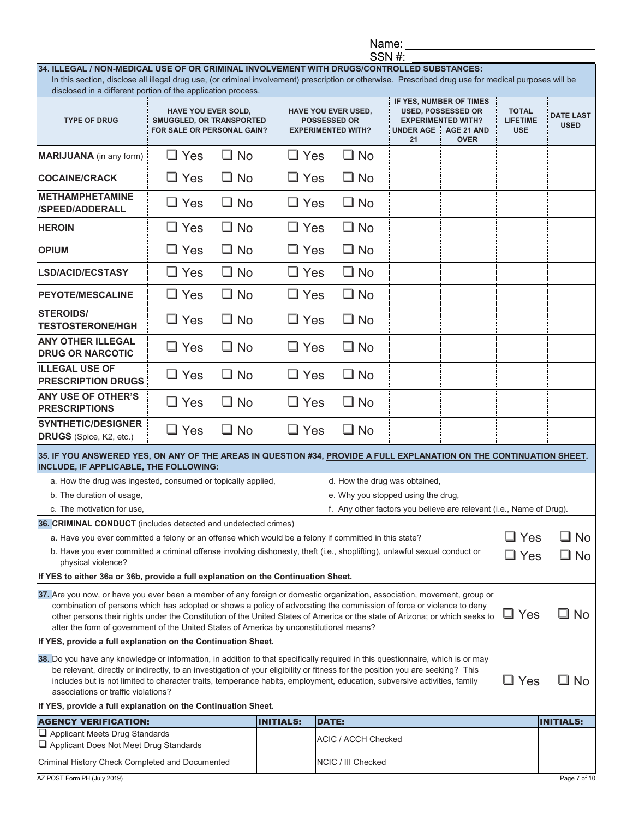| Name |  |
|------|--|
|------|--|

|                                                                                                                                                                                                                                                                                                                                                                                                                                                                                                      |                                                                                             |              |                  |              |                                                                                | SSN #:                 |                                                                                                                      |                                               |                                 |
|------------------------------------------------------------------------------------------------------------------------------------------------------------------------------------------------------------------------------------------------------------------------------------------------------------------------------------------------------------------------------------------------------------------------------------------------------------------------------------------------------|---------------------------------------------------------------------------------------------|--------------|------------------|--------------|--------------------------------------------------------------------------------|------------------------|----------------------------------------------------------------------------------------------------------------------|-----------------------------------------------|---------------------------------|
| 34. ILLEGAL / NON-MEDICAL USE OF OR CRIMINAL INVOLVEMENT WITH DRUGS/CONTROLLED SUBSTANCES:<br>In this section, disclose all illegal drug use, (or criminal involvement) prescription or otherwise. Prescribed drug use for medical purposes will be                                                                                                                                                                                                                                                  |                                                                                             |              |                  |              |                                                                                |                        |                                                                                                                      |                                               |                                 |
| disclosed in a different portion of the application process.                                                                                                                                                                                                                                                                                                                                                                                                                                         |                                                                                             |              |                  |              |                                                                                |                        |                                                                                                                      |                                               |                                 |
| <b>TYPE OF DRUG</b>                                                                                                                                                                                                                                                                                                                                                                                                                                                                                  | <b>HAVE YOU EVER SOLD,</b><br><b>SMUGGLED, OR TRANSPORTED</b><br>FOR SALE OR PERSONAL GAIN? |              |                  |              | <b>HAVE YOU EVER USED,</b><br><b>POSSESSED OR</b><br><b>EXPERIMENTED WITH?</b> | <b>UNDER AGE</b><br>21 | IF YES, NUMBER OF TIMES<br><b>USED, POSSESSED OR</b><br><b>EXPERIMENTED WITH?</b><br>AGE 21 AND<br>H.<br><b>OVER</b> | <b>TOTAL</b><br><b>LIFETIME</b><br><b>USE</b> | <b>DATE LAST</b><br><b>USED</b> |
| <b>MARIJUANA</b> (in any form)                                                                                                                                                                                                                                                                                                                                                                                                                                                                       | $\square$ Yes                                                                               | $\Box$ No    | $\Box$ Yes       |              | $\Box$ No                                                                      |                        |                                                                                                                      |                                               |                                 |
| <b>COCAINE/CRACK</b>                                                                                                                                                                                                                                                                                                                                                                                                                                                                                 | $\Box$ Yes                                                                                  | $\square$ No | $\Box$ Yes       |              | $\Box$ No                                                                      |                        |                                                                                                                      |                                               |                                 |
| <b>METHAMPHETAMINE</b><br><b>/SPEED/ADDERALL</b>                                                                                                                                                                                                                                                                                                                                                                                                                                                     | $\square$ Yes                                                                               | $\Box$ No    | $\Box$ Yes       |              | $\Box$ No                                                                      |                        |                                                                                                                      |                                               |                                 |
| <b>HEROIN</b>                                                                                                                                                                                                                                                                                                                                                                                                                                                                                        | $\Box$ Yes                                                                                  | $\Box$ No    | $\Box$ Yes       |              | $\Box$ No                                                                      |                        |                                                                                                                      |                                               |                                 |
| <b>OPIUM</b>                                                                                                                                                                                                                                                                                                                                                                                                                                                                                         | $\Box$ Yes                                                                                  | $\Box$ No    | $\Box$ Yes       |              | $\Box$ No                                                                      |                        |                                                                                                                      |                                               |                                 |
| <b>LSD/ACID/ECSTASY</b>                                                                                                                                                                                                                                                                                                                                                                                                                                                                              | $\Box$ Yes                                                                                  | $\square$ No | $\Box$ Yes       |              | $\Box$ No                                                                      |                        |                                                                                                                      |                                               |                                 |
| <b>PEYOTE/MESCALINE</b>                                                                                                                                                                                                                                                                                                                                                                                                                                                                              | $\square$ Yes                                                                               | $\square$ No | $\Box$ Yes       |              | $\square$ No                                                                   |                        |                                                                                                                      |                                               |                                 |
| <b>STEROIDS/</b><br><b>TESTOSTERONE/HGH</b>                                                                                                                                                                                                                                                                                                                                                                                                                                                          | $\square$ Yes                                                                               | $\Box$ No    | $\Box$ Yes       |              | $\square$ No                                                                   |                        |                                                                                                                      |                                               |                                 |
| <b>ANY OTHER ILLEGAL</b><br><b>DRUG OR NARCOTIC</b>                                                                                                                                                                                                                                                                                                                                                                                                                                                  | $\square$ Yes                                                                               | $\square$ No | $\Box$ Yes       |              | $\Box$ No                                                                      |                        |                                                                                                                      |                                               |                                 |
| <b>ILLEGAL USE OF</b><br><b>PRESCRIPTION DRUGS</b>                                                                                                                                                                                                                                                                                                                                                                                                                                                   | $\Box$ Yes                                                                                  | $\square$ No | $\Box$ Yes       |              | $\Box$ No                                                                      |                        |                                                                                                                      |                                               |                                 |
| <b>ANY USE OF OTHER'S</b><br><b>PRESCRIPTIONS</b>                                                                                                                                                                                                                                                                                                                                                                                                                                                    | $\Box$ Yes                                                                                  | $\Box$ No    | $\Box$ Yes       |              | $\Box$ No                                                                      |                        |                                                                                                                      |                                               |                                 |
| <b>SYNTHETIC/DESIGNER</b><br>DRUGS (Spice, K2, etc.)                                                                                                                                                                                                                                                                                                                                                                                                                                                 | $\square$ Yes                                                                               | $\Box$ No    | $\square$ Yes    |              | $\square$ No                                                                   |                        |                                                                                                                      |                                               |                                 |
| 35. IF YOU ANSWERED YES, ON ANY OF THE AREAS IN QUESTION #34, PROVIDE A FULL EXPLANATION ON THE CONTINUATION SHEET.<br>INCLUDE, IF APPLICABLE, THE FOLLOWING:                                                                                                                                                                                                                                                                                                                                        |                                                                                             |              |                  |              |                                                                                |                        |                                                                                                                      |                                               |                                 |
| a. How the drug was ingested, consumed or topically applied,                                                                                                                                                                                                                                                                                                                                                                                                                                         |                                                                                             |              |                  |              | d. How the drug was obtained,                                                  |                        |                                                                                                                      |                                               |                                 |
| b. The duration of usage,                                                                                                                                                                                                                                                                                                                                                                                                                                                                            |                                                                                             |              |                  |              | e. Why you stopped using the drug,                                             |                        |                                                                                                                      |                                               |                                 |
| c. The motivation for use,                                                                                                                                                                                                                                                                                                                                                                                                                                                                           |                                                                                             |              |                  |              |                                                                                |                        | f. Any other factors you believe are relevant (i.e., Name of Drug).                                                  |                                               |                                 |
| 36. CRIMINAL CONDUCT (includes detected and undetected crimes)                                                                                                                                                                                                                                                                                                                                                                                                                                       |                                                                                             |              |                  |              |                                                                                |                        |                                                                                                                      |                                               |                                 |
| a. Have you ever committed a felony or an offense which would be a felony if committed in this state?                                                                                                                                                                                                                                                                                                                                                                                                |                                                                                             |              |                  |              |                                                                                |                        |                                                                                                                      | $\square$ Yes                                 | ⊒ No                            |
| b. Have you ever committed a criminal offense involving dishonesty, theft (i.e., shoplifting), unlawful sexual conduct or<br>physical violence?                                                                                                                                                                                                                                                                                                                                                      |                                                                                             |              |                  |              |                                                                                |                        |                                                                                                                      | $\square$ Yes                                 | $\sqsupseteq$ No                |
| If YES to either 36a or 36b, provide a full explanation on the Continuation Sheet.                                                                                                                                                                                                                                                                                                                                                                                                                   |                                                                                             |              |                  |              |                                                                                |                        |                                                                                                                      |                                               |                                 |
| 37. Are you now, or have you ever been a member of any foreign or domestic organization, association, movement, group or<br>combination of persons which has adopted or shows a policy of advocating the commission of force or violence to deny<br>⊒ No<br>$\square$ Yes<br>other persons their rights under the Constitution of the United States of America or the state of Arizona; or which seeks to<br>alter the form of government of the United States of America by unconstitutional means? |                                                                                             |              |                  |              |                                                                                |                        |                                                                                                                      |                                               |                                 |
| If YES, provide a full explanation on the Continuation Sheet.                                                                                                                                                                                                                                                                                                                                                                                                                                        |                                                                                             |              |                  |              |                                                                                |                        |                                                                                                                      |                                               |                                 |
| 38. Do you have any knowledge or information, in addition to that specifically required in this questionnaire, which is or may<br>be relevant, directly or indirectly, to an investigation of your eligibility or fitness for the position you are seeking? This<br>includes but is not limited to character traits, temperance habits, employment, education, subversive activities, family<br>associations or traffic violations?                                                                  |                                                                                             |              |                  |              |                                                                                |                        |                                                                                                                      | $\square$ Yes                                 | ∐ No                            |
| If YES, provide a full explanation on the Continuation Sheet.                                                                                                                                                                                                                                                                                                                                                                                                                                        |                                                                                             |              |                  |              |                                                                                |                        |                                                                                                                      |                                               |                                 |
| <b>AGENCY VERIFICATION:</b>                                                                                                                                                                                                                                                                                                                                                                                                                                                                          |                                                                                             |              | <b>INITIALS:</b> | <b>DATE:</b> |                                                                                |                        |                                                                                                                      |                                               | <b>INITIALS:</b>                |
| $\Box$ Applicant Meets Drug Standards<br>Applicant Does Not Meet Drug Standards                                                                                                                                                                                                                                                                                                                                                                                                                      |                                                                                             |              |                  |              | <b>ACIC / ACCH Checked</b>                                                     |                        |                                                                                                                      |                                               |                                 |
| Criminal History Check Completed and Documented                                                                                                                                                                                                                                                                                                                                                                                                                                                      |                                                                                             |              |                  |              | NCIC / III Checked                                                             |                        |                                                                                                                      |                                               |                                 |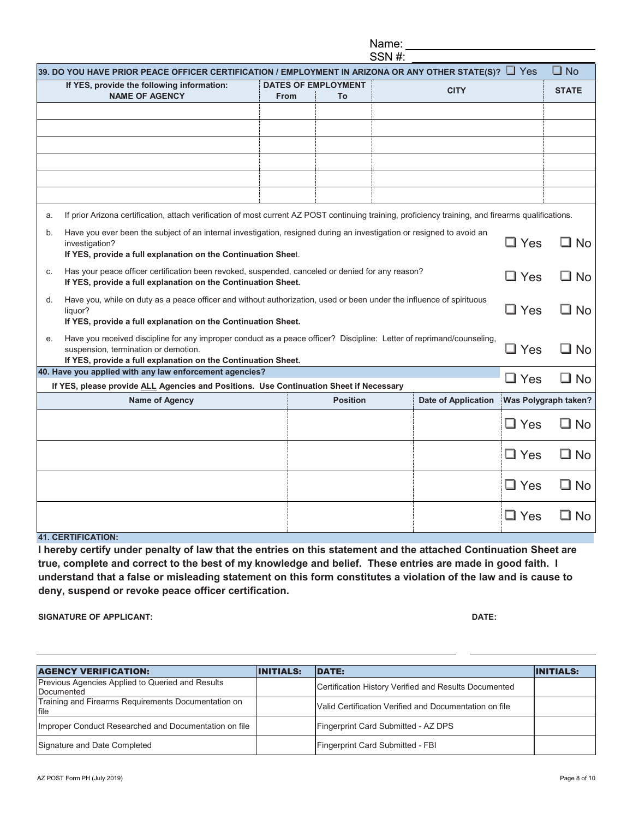| If YES, provide the following information:                                                                                                                                                                                     |             | <b>DATES OF EMPLOYMENT</b> |                            |                      |              |
|--------------------------------------------------------------------------------------------------------------------------------------------------------------------------------------------------------------------------------|-------------|----------------------------|----------------------------|----------------------|--------------|
| <b>NAME OF AGENCY</b>                                                                                                                                                                                                          | <b>From</b> | To                         | <b>CITY</b>                |                      | <b>STATE</b> |
|                                                                                                                                                                                                                                |             |                            |                            |                      |              |
|                                                                                                                                                                                                                                |             |                            |                            |                      |              |
|                                                                                                                                                                                                                                |             |                            |                            |                      |              |
|                                                                                                                                                                                                                                |             |                            |                            |                      |              |
|                                                                                                                                                                                                                                |             |                            |                            |                      |              |
|                                                                                                                                                                                                                                |             |                            |                            |                      |              |
| If prior Arizona certification, attach verification of most current AZ POST continuing training, proficiency training, and firearms qualifications.                                                                            |             |                            |                            |                      |              |
| Have you ever been the subject of an internal investigation, resigned during an investigation or resigned to avoid an<br>investigation?<br>If YES, provide a full explanation on the Continuation Sheet.                       |             |                            |                            | $\square$ Yes        | $\square$ No |
| Has your peace officer certification been revoked, suspended, canceled or denied for any reason?<br>If YES, provide a full explanation on the Continuation Sheet.                                                              |             |                            |                            | $\Box$ Yes           | $\square$ No |
| Have you, while on duty as a peace officer and without authorization, used or been under the influence of spirituous<br>d.<br>liquor?<br>If YES, provide a full explanation on the Continuation Sheet.                         |             |                            |                            |                      | $\square$ No |
| Have you received discipline for any improper conduct as a peace officer? Discipline: Letter of reprimand/counseling,<br>suspension, termination or demotion.<br>If YES, provide a full explanation on the Continuation Sheet. |             |                            |                            | $\Box$ Yes           | $\square$ No |
| 40. Have you applied with any law enforcement agencies?                                                                                                                                                                        |             |                            |                            | $\Box$ Yes           | $\square$ No |
| If YES, please provide ALL Agencies and Positions. Use Continuation Sheet if Necessary                                                                                                                                         |             |                            |                            |                      |              |
| Name of Agency                                                                                                                                                                                                                 |             | <b>Position</b>            | <b>Date of Application</b> | Was Polygraph taken? |              |
|                                                                                                                                                                                                                                |             |                            |                            | $\Box$ Yes           | $\square$ No |
|                                                                                                                                                                                                                                |             |                            |                            | $\Box$ Yes           | $\square$ No |
|                                                                                                                                                                                                                                |             |                            |                            | $\Box$ Yes           | $\square$ No |
|                                                                                                                                                                                                                                |             |                            |                            | $\Box$ Yes           | $\square$ No |
|                                                                                                                                                                                                                                |             |                            |                            |                      |              |

**true, complete and correct to the best of my knowledge and belief. These entries are made in good faith. I understand that a false or misleading statement on this form constitutes a violation of the law and is cause to deny, suspend or revoke peace officer certification.** 

**SIGNATURE OF APPLICANT: DATE:**

| <b>AGENCY VERIFICATION:</b>                                    | <b>IINITIALS:</b> | <b>IDATE:</b>                                          | <b>INITIALS:</b> |
|----------------------------------------------------------------|-------------------|--------------------------------------------------------|------------------|
| Previous Agencies Applied to Queried and Results<br>Documented |                   | Certification History Verified and Results Documented  |                  |
| Training and Firearms Requirements Documentation on<br>file    |                   | Valid Certification Verified and Documentation on file |                  |
| Improper Conduct Researched and Documentation on file          |                   | Fingerprint Card Submitted - AZ DPS                    |                  |
| Signature and Date Completed                                   |                   | Fingerprint Card Submitted - FBI                       |                  |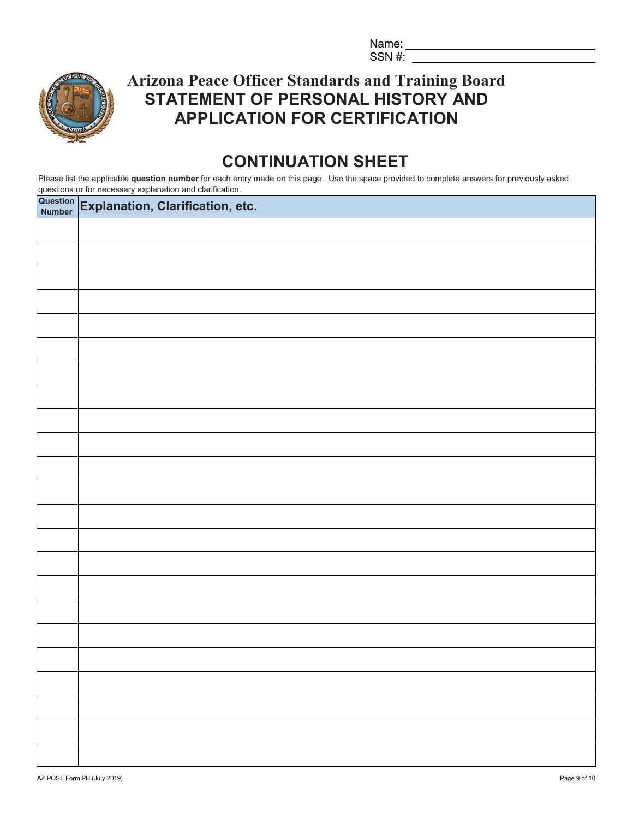Name:  $SSN$ #:



**Arizona Peace Officer Standards and Training Board STATEMENT OF PERSONAL HISTORY AND APPLICATION FOR CERTIFICATION**

# **CONTINUATION SHEET**

Please list the applicable **question number** for each entry made on this page. Use the space provided to complete answers for previously asked questions or for necessary explanation and clarification.

| Question Explanation, Clarification, etc. |
|-------------------------------------------|
|                                           |
|                                           |
|                                           |
|                                           |
|                                           |
|                                           |
|                                           |
|                                           |
|                                           |
|                                           |
|                                           |
|                                           |
|                                           |
|                                           |
|                                           |
|                                           |
|                                           |
|                                           |
|                                           |
|                                           |
|                                           |
|                                           |
|                                           |
|                                           |
|                                           |
|                                           |